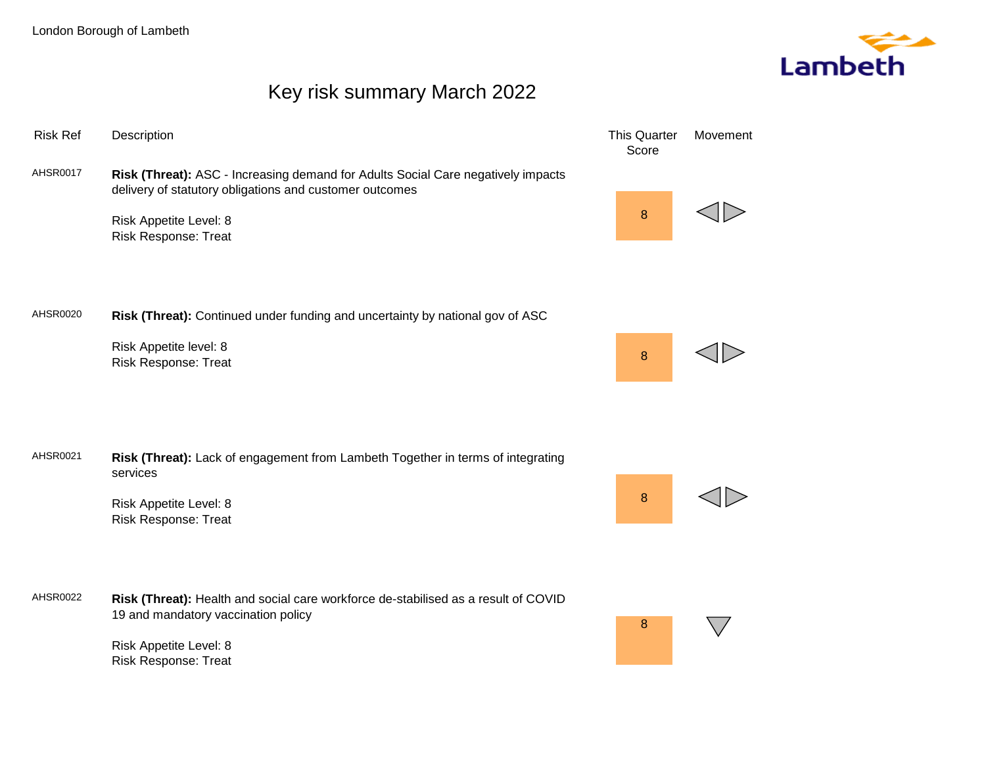

# Key risk summary March 2022

| <b>Risk Ref</b> | Description                                                                                                                                                                                          | <b>This Quarter</b><br>Score | Movement |
|-----------------|------------------------------------------------------------------------------------------------------------------------------------------------------------------------------------------------------|------------------------------|----------|
| <b>AHSR0017</b> | Risk (Threat): ASC - Increasing demand for Adults Social Care negatively impacts<br>delivery of statutory obligations and customer outcomes<br>Risk Appetite Level: 8<br><b>Risk Response: Treat</b> | 8                            |          |
| AHSR0020        | Risk (Threat): Continued under funding and uncertainty by national gov of ASC<br>Risk Appetite level: 8<br><b>Risk Response: Treat</b>                                                               | 8                            |          |
| AHSR0021        | Risk (Threat): Lack of engagement from Lambeth Together in terms of integrating<br>services<br>Risk Appetite Level: 8<br><b>Risk Response: Treat</b>                                                 | 8                            |          |
| AHSR0022        | Risk (Threat): Health and social care workforce de-stabilised as a result of COVID<br>19 and mandatory vaccination policy<br>Risk Appetite Level: 8<br><b>Risk Response: Treat</b>                   | 8                            |          |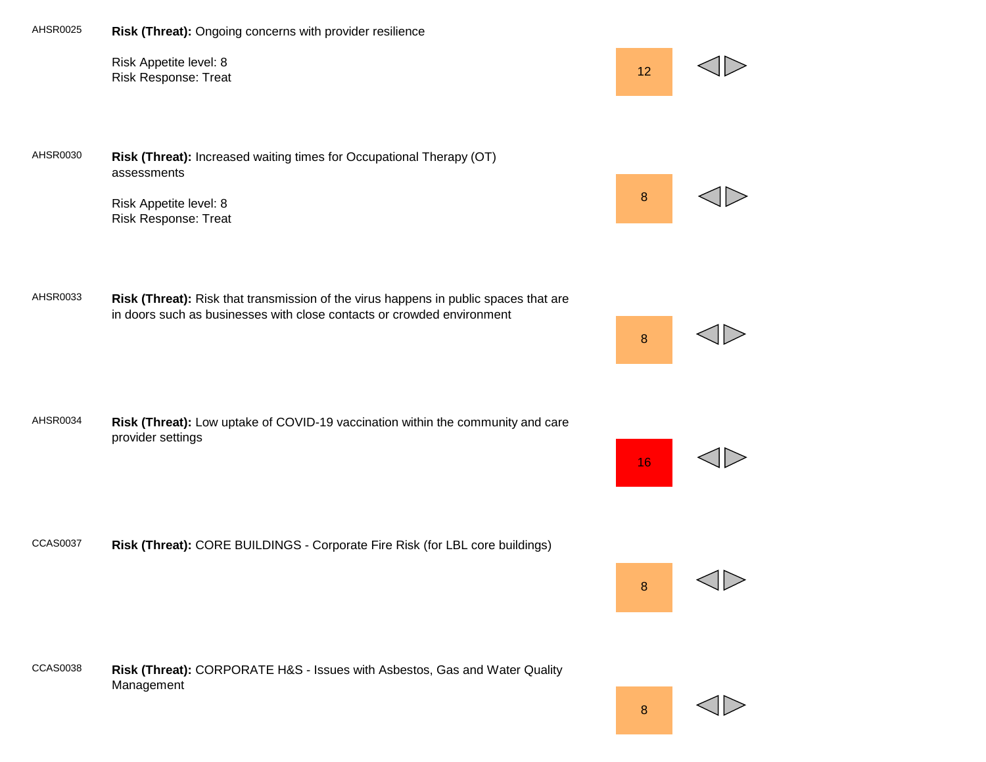

8

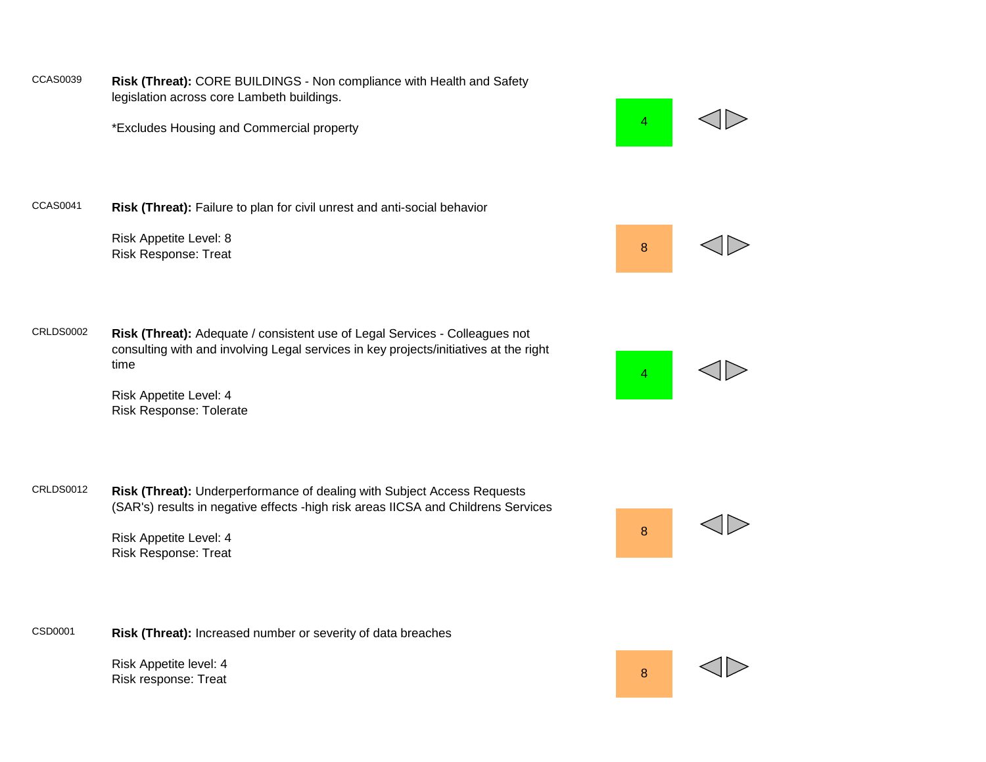CCAS0039 **Risk (Threat):** CORE BUILDINGS - Non compliance with Health and Safety legislation across core Lambeth buildings.

\*Excludes Housing and Commercial property Andrew Annual Accounts and Annual Accounts And Accounts A



CCAS0041 **Risk (Threat):** Failure to plan for civil unrest and anti-social behavior

Risk Appetite Level: 8 Risk Response: Treat 8<br>Risk Response: Treat

CRLDS0002 **Risk (Threat):** Adequate / consistent use of Legal Services - Colleagues not consulting with and involving Legal services in key projects/initiatives at the right time

> Risk Appetite Level: 4 Risk Response: Tolerate

CRLDS0012 **Risk (Threat):** Underperformance of dealing with Subject Access Requests (SAR's) results in negative effects -high risk areas IICSA and Childrens Services

> Risk Appetite Level: 4 Risk Response: Treat



Risk Appetite level: 4 Risk Appelite fevel. +<br>Risk response: Treat 8





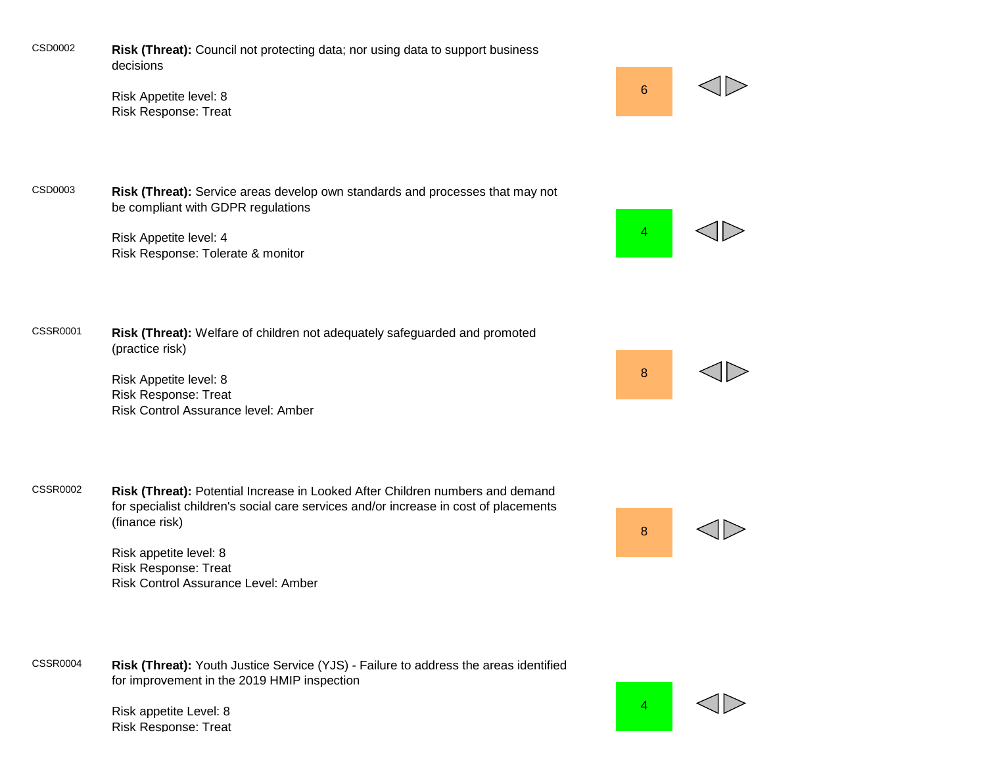CSD0002 **Risk (Threat):** Council not protecting data; nor using data to support business decisions

> Risk Appetite level: 8 Risk Response: Treat

CSD0003 **Risk (Threat):** Service areas develop own standards and processes that may not be compliant with GDPR regulations

> Risk Appetite level: 4 Risk Response: Tolerate & monitor

CSSR0001 **Risk (Threat):** Welfare of children not adequately safeguarded and promoted (practice risk)

> Risk Appetite level: 8 Risk Response: Treat Risk Control Assurance level: Amber

CSSR0002 **Risk (Threat):** Potential Increase in Looked After Children numbers and demand for specialist children's social care services and/or increase in cost of placements (finance risk)

> Risk appetite level: 8 Risk Response: Treat Risk Control Assurance Level: Amber

CSSR0004 **Risk (Threat):** Youth Justice Service (YJS) - Failure to address the areas identified for improvement in the 2019 HMIP inspection

> Risk appetite Level: 8 Risk Response: Treat



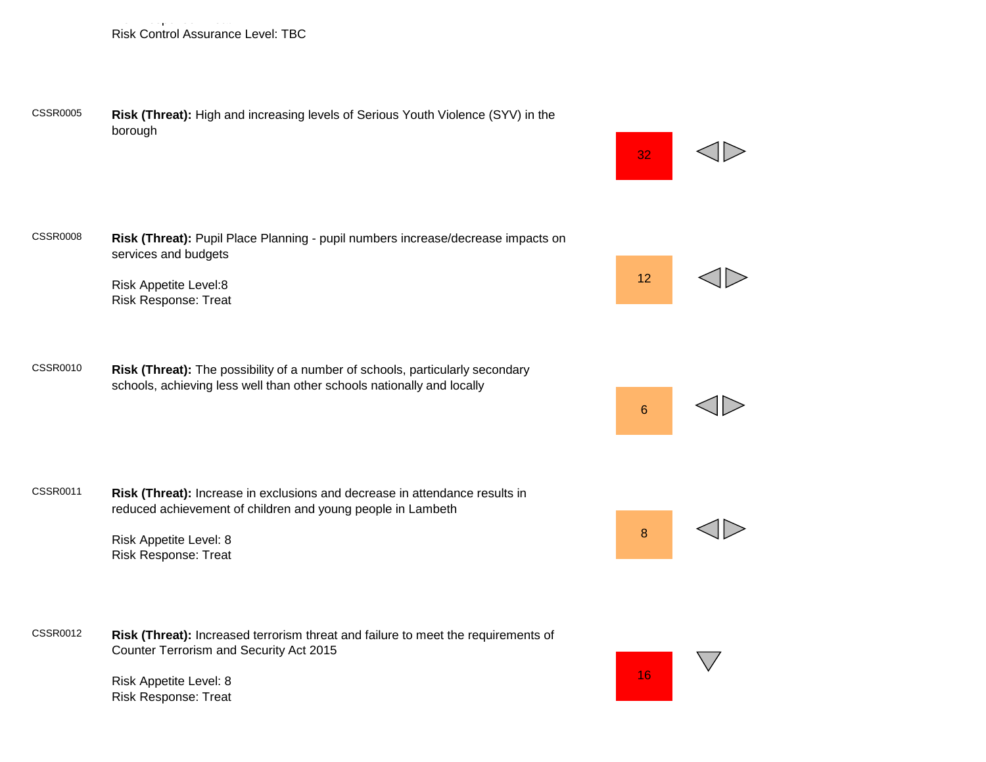Risk Response: Treat Risk Control Assurance Level: TBC

CSSR0005 **Risk (Threat):** High and increasing levels of Serious Youth Violence (SYV) in the borough



CSSR0008 **Risk (Threat):** Pupil Place Planning - pupil numbers increase/decrease impacts on services and budgets

> Risk Appetite Level:8 Risk Response: Treat

CSSR0010 **Risk (Threat):** The possibility of a number of schools, particularly secondary schools, achieving less well than other schools nationally and locally

CSSR0011 **Risk (Threat):** Increase in exclusions and decrease in attendance results in reduced achievement of children and young people in Lambeth

> Risk Appetite Level: 8 Risk Response: Treat

CSSR0012 **Risk (Threat):** Increased terrorism threat and failure to meet the requirements of Counter Terrorism and Security Act 2015

> Risk Appetite Level: 8 Risk Response: Treat



16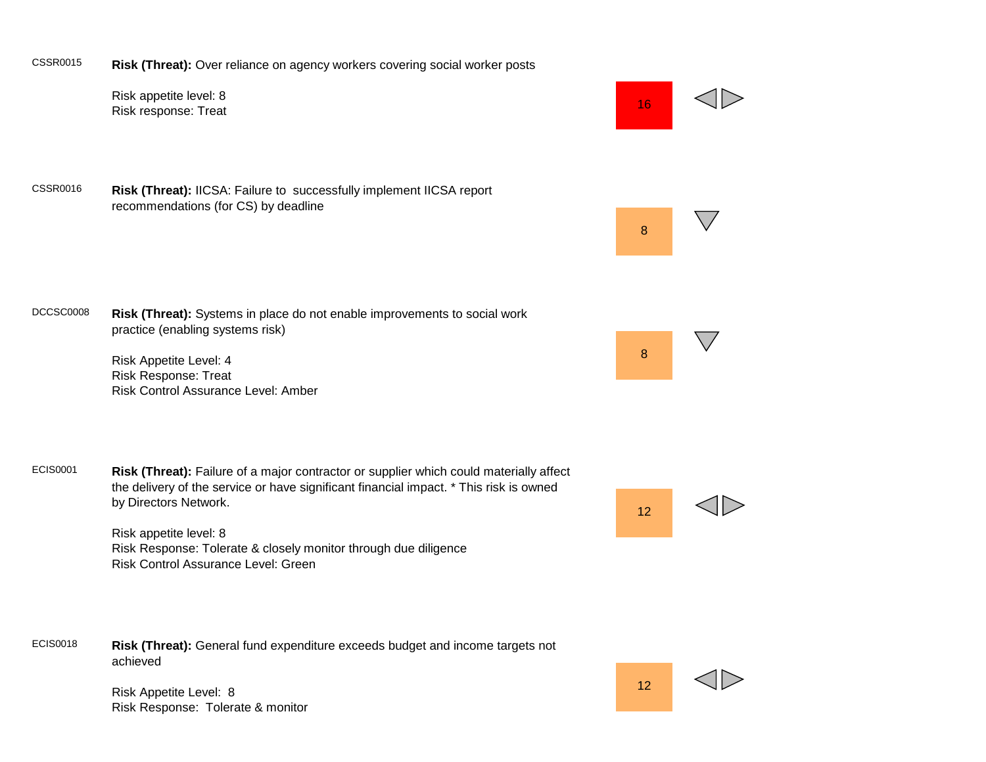

Risk Appetite Level: 8 Risk Response: Tolerate & monitor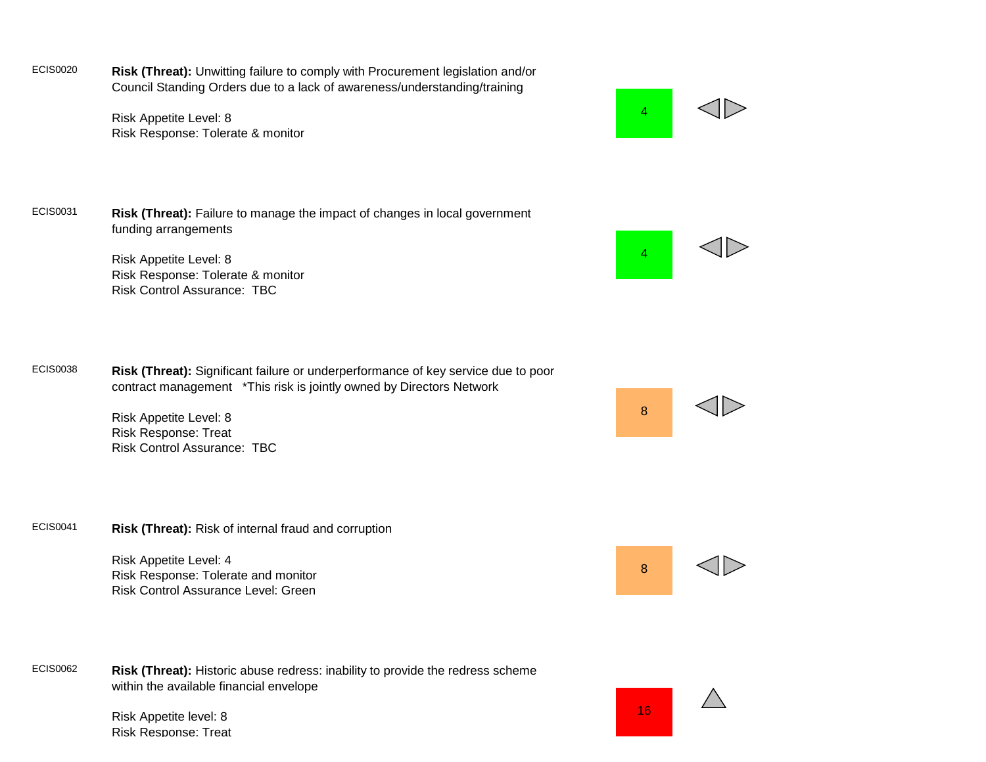ECIS0020 **Risk (Threat):** Unwitting failure to comply with Procurement legislation and/or Council Standing Orders due to a lack of awareness/understanding/training

> Risk Appetite Level: 8 Risk Response: Tolerate & monitor





Risk Appetite Level: 8 Risk Response: Tolerate & monitor Risk Control Assurance: TBC

ECIS0038 **Risk (Threat):** Significant failure or underperformance of key service due to poor contract management \*This risk is jointly owned by Directors Network

> Risk Appetite Level: 8 Risk Response: Treat Risk Control Assurance: TBC



Risk Appetite Level: 4 Risk Response: Tolerate and monitor Risk Control Assurance Level: Green



Risk Appetite level: 8 Risk Response: Treat







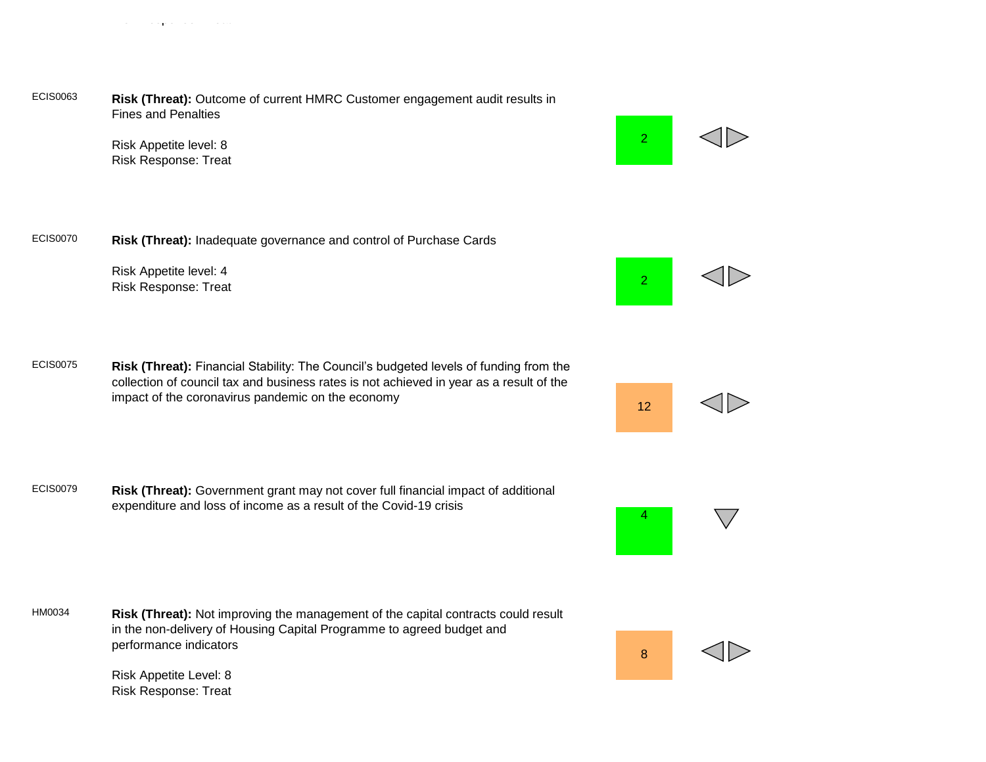#### ECIS0063 **Risk (Threat):** Outcome of current HMRC Customer engagement audit results in Fines and Penalties

Risk Appetite level: 8 Risk Response: Treat

Risk Response: Treat

ECIS0070 **Risk (Threat):** Inadequate governance and control of Purchase Cards

Risk Appetite level: 4 Risk Response: Treat

ECIS0075 **Risk (Threat):** Financial Stability: The Council's budgeted levels of funding from the collection of council tax and business rates is not achieved in year as a result of the impact of the coronavirus pandemic on the economy

ECIS0079 **Risk (Threat):** Government grant may not cover full financial impact of additional expenditure and loss of income as a result of the Covid-19 crisis

HM0034 **Risk (Threat):** Not improving the management of the capital contracts could result in the non-delivery of Housing Capital Programme to agreed budget and performance indicators

> Risk Appetite Level: 8 Risk Response: Treat

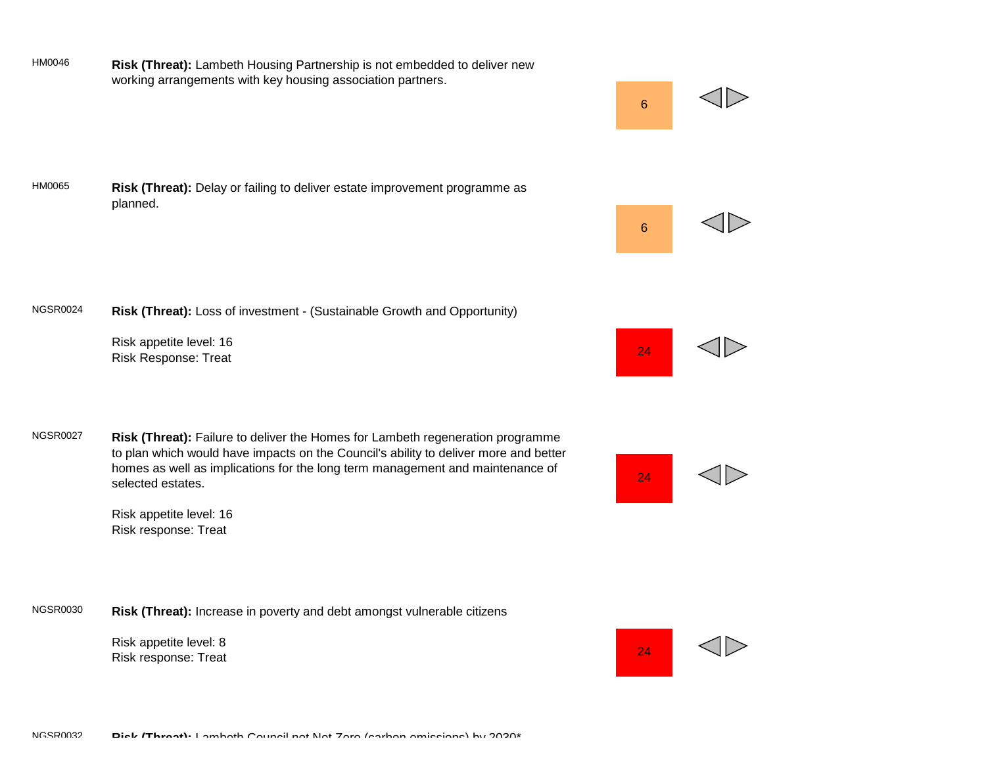

NGSR0024 **Risk (Threat):** Loss of investment - (Sustainable Growth and Opportunity) Risk appetite level: 16 Risk Response: Treat 24 HM0065 **Risk (Threat):** Delay or failing to deliver estate improvement programme as planned.

HM0046 **Risk (Threat):** Lambeth Housing Partnership is not embedded to deliver new working arrangements with key housing association partners.

NGSR0027 **Risk (Threat):** Failure to deliver the Homes for Lambeth regeneration programme to plan which would have impacts on the Council's ability to deliver more and better homes as well as implications for the long term management and maintenance of selected estates.



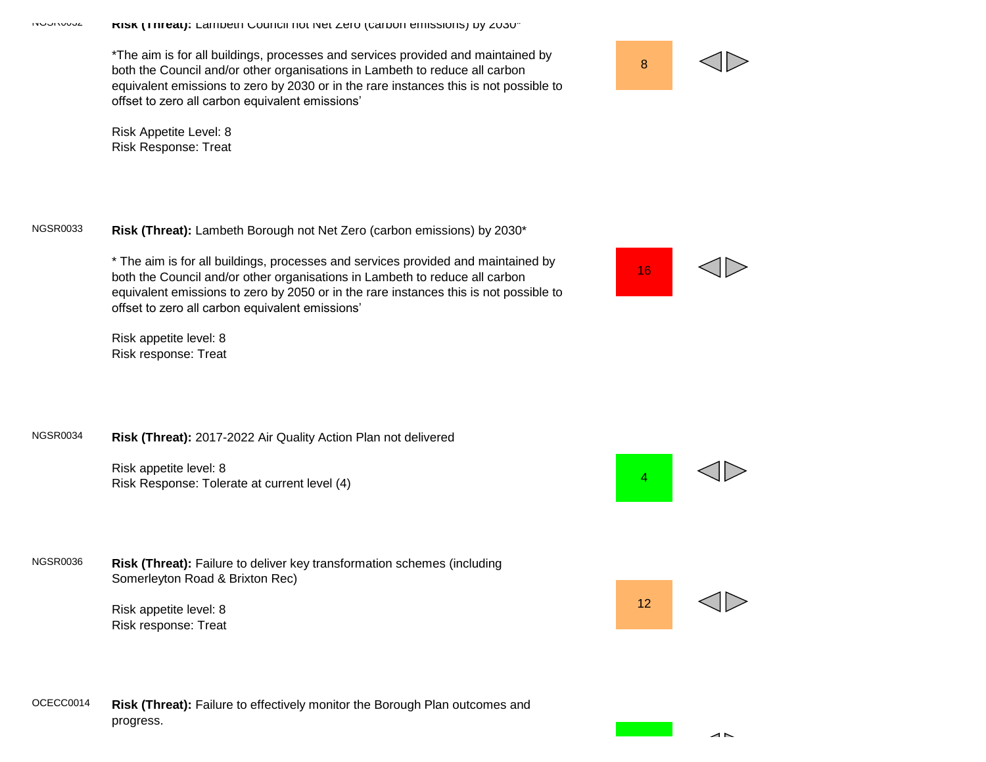\*The aim is for all buildings, processes and services provided and maintained by both the Council and/or other organisations in Lambeth to reduce all carbon equivalent emissions to zero by 2030 or in the rare instances this is not possible to offset to zero all carbon equivalent emissions'

Risk Appetite Level: 8 Risk Response: Treat

## NGSR0033 **Risk (Threat):** Lambeth Borough not Net Zero (carbon emissions) by 2030\*

\* The aim is for all buildings, processes and services provided and maintained by both the Council and/or other organisations in Lambeth to reduce all carbon equivalent emissions to zero by 2050 or in the rare instances this is not possible to offset to zero all carbon equivalent emissions'

Risk appetite level: 8 Risk response: Treat

## NGSR0034 **Risk (Threat):** 2017-2022 Air Quality Action Plan not delivered

Risk appetite level: 8 Risk Response: Tolerate at current level (4)

NGSR0036 **Risk (Threat):** Failure to deliver key transformation schemes (including Somerleyton Road & Brixton Rec)

> Risk appetite level: 8 Risk response: Treat

## OCECC0014 **Risk (Threat):** Failure to effectively monitor the Borough Plan outcomes and progress.





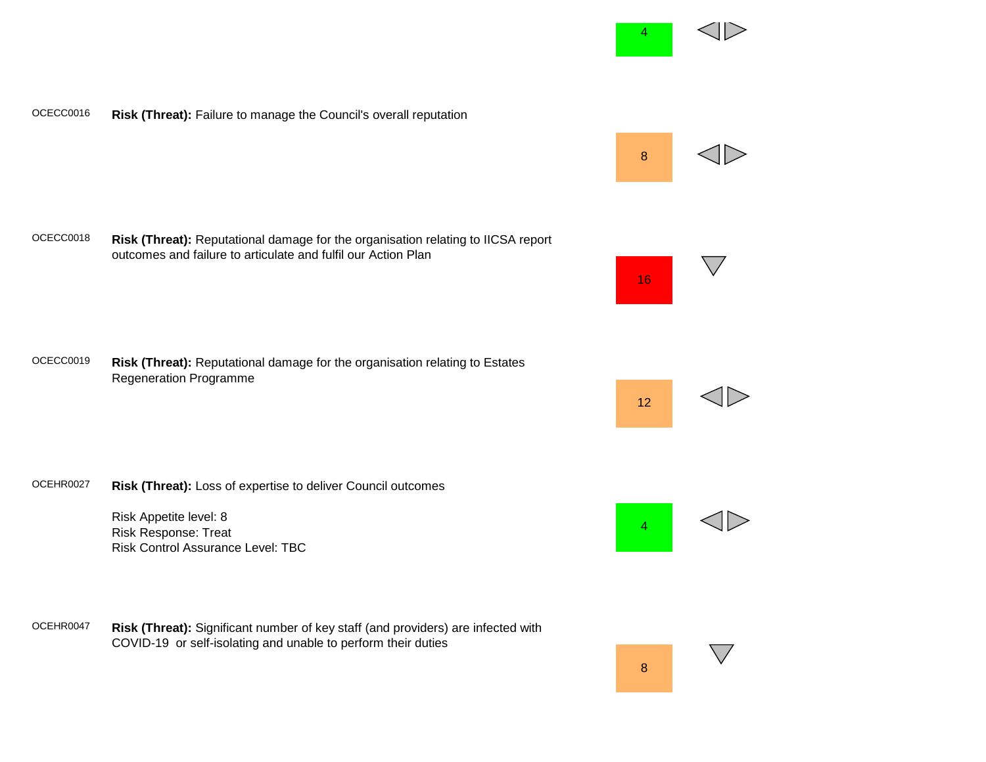

OCEHR0047 **Risk (Threat):** Significant number of key staff (and providers) are infected with COVID-19 or self-isolating and unable to perform their duties

Risk Appetite level: 8 Risk Response: Treat





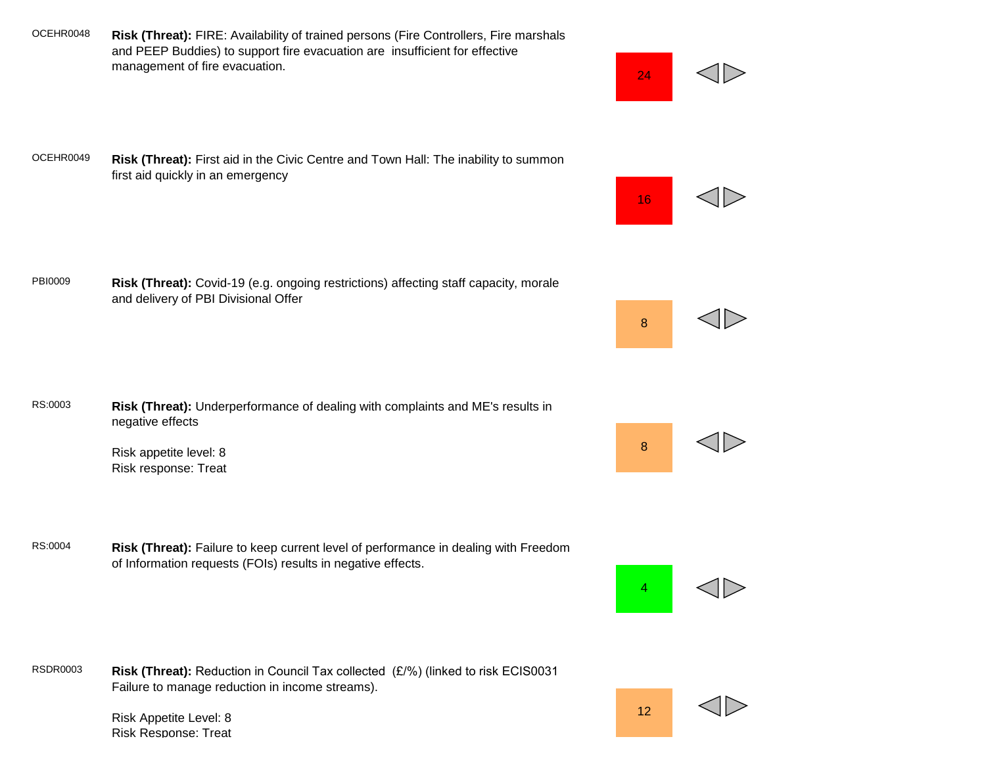OCEHR0048 **Risk (Threat):** FIRE: Availability of trained persons (Fire Controllers, Fire marshals and PEEP Buddies) to support fire evacuation are insufficient for effective management of fire evacuation.

OCEHR0049 **Risk (Threat):** First aid in the Civic Centre and Town Hall: The inability to summon first aid quickly in an emergency

PBI0009 **Risk (Threat):** Covid-19 (e.g. ongoing restrictions) affecting staff capacity, morale and delivery of PBI Divisional Offer

- RS:0003 **Risk (Threat):** Underperformance of dealing with complaints and ME's results in negative effects
	- Risk appetite level: 8 Risk response: Treat
- RS:0004 **Risk (Threat):** Failure to keep current level of performance in dealing with Freedom of Information requests (FOIs) results in negative effects.

RSDR0003 **Risk (Threat):** Reduction in Council Tax collected (£/%) (linked to risk ECIS0031 Failure to manage reduction in income streams).

> Risk Appetite Level: 8 Risk Response: Treat



12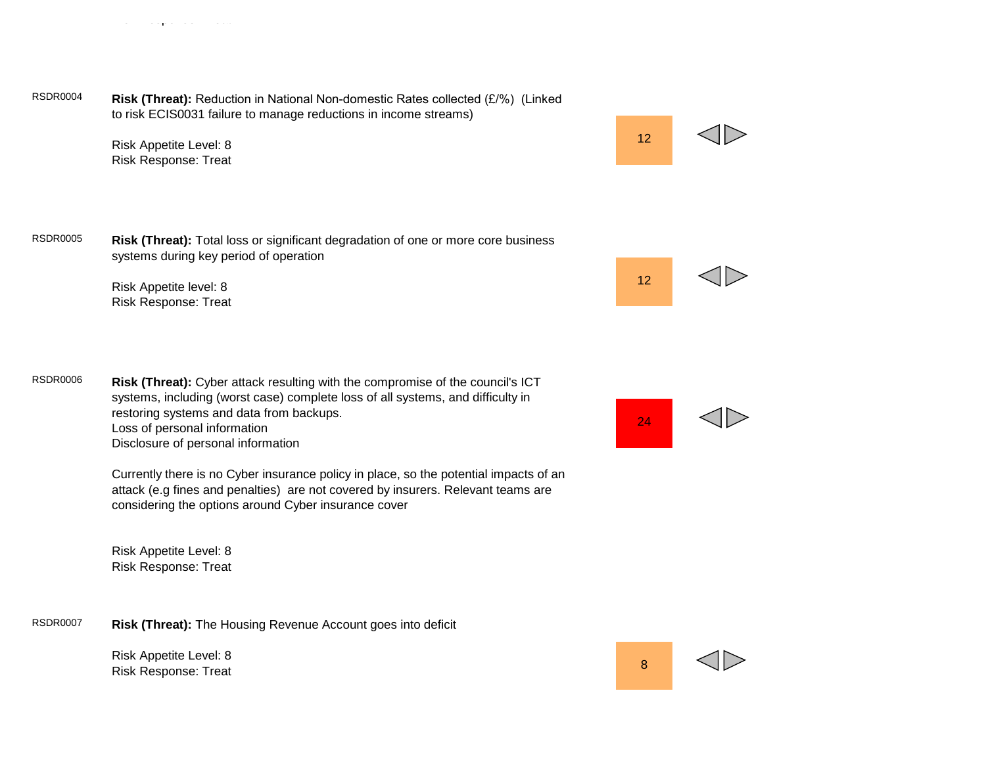RSDR0004 **Risk (Threat):** Reduction in National Non-domestic Rates collected (£/%) (Linked to risk ECIS0031 failure to manage reductions in income streams)

> Risk Appetite Level: 8 Risk Response: Treat

Risk Response: Treat

12

12

RSDR0005 **Risk (Threat):** Total loss or significant degradation of one or more core business systems during key period of operation

> Risk Appetite level: 8 Risk Response: Treat

RSDR0006 **Risk (Threat):** Cyber attack resulting with the compromise of the council's ICT systems, including (worst case) complete loss of all systems, and difficulty in restoring systems and data from backups. Loss of personal information Disclosure of personal information

> Currently there is no Cyber insurance policy in place, so the potential impacts of an attack (e.g fines and penalties) are not covered by insurers. Relevant teams are considering the options around Cyber insurance cover

Risk Appetite Level: 8 Risk Response: Treat

RSDR0007 **Risk (Threat):** The Housing Revenue Account goes into deficit

Risk Appetite Level: 8 Risk Appelite Level. 6<br>Risk Response: Treat 8



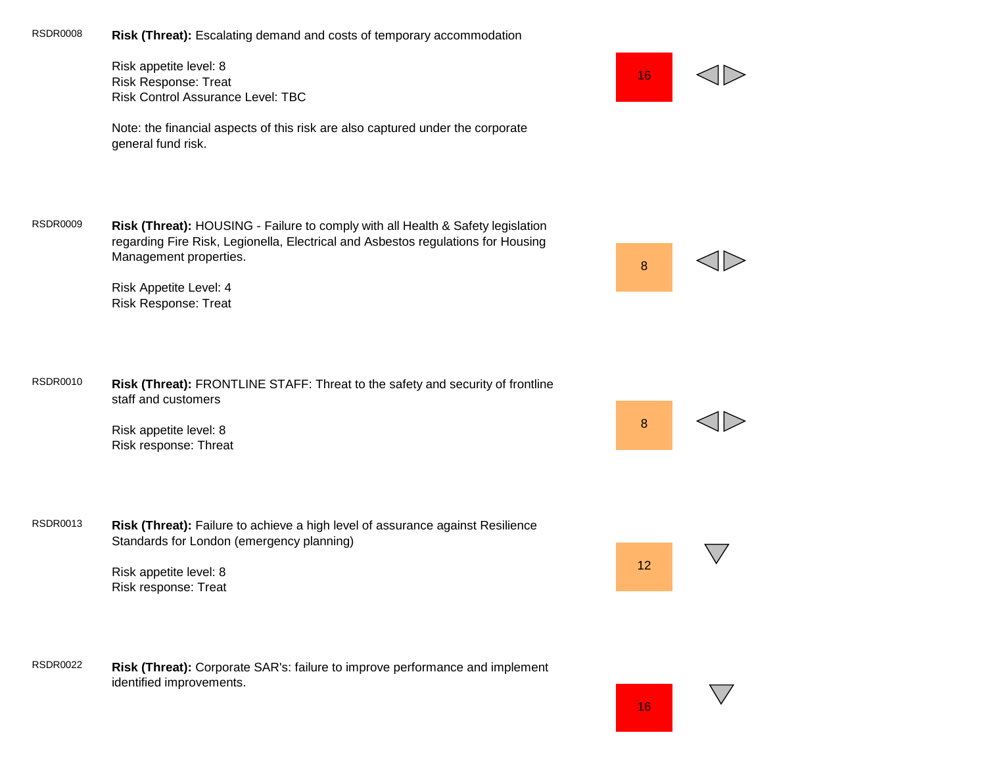RSDR0008 **Risk (Threat):** Escalating demand and costs of temporary accommodation

Risk appetite level: 8 Risk Response: Treat Risk Control Assurance Level: TBC



Note: the financial aspects of this risk are also captured under the corporate general fund risk.

RSDR0009 **Risk (Threat):** HOUSING - Failure to comply with all Health & Safety legislation regarding Fire Risk, Legionella, Electrical and Asbestos regulations for Housing Management properties.

> Risk Appetite Level: 4 Risk Response: Treat

RSDR0010 **Risk (Threat):** FRONTLINE STAFF: Threat to the safety and security of frontline staff and customers

> Risk appetite level: 8 Risk response: Threat

RSDR0013 **Risk (Threat):** Failure to achieve a high level of assurance against Resilience Standards for London (emergency planning)

> Risk appetite level: 8 Risk response: Treat

RSDR0022 **Risk (Threat):** Corporate SAR's: failure to improve performance and implement identified improvements.